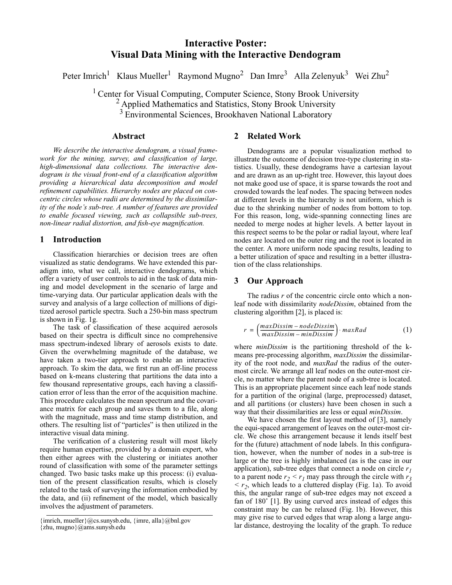# **Interactive Poster: Visual Data Mining with the Interactive Dendogram**

Peter Imrich<sup>1</sup> Klaus Mueller<sup>1</sup> Raymond Mugno<sup>2</sup> Dan Imre<sup>3</sup> Alla Zelenyuk<sup>3</sup> Wei Zhu<sup>2</sup>

<sup>1</sup> Center for Visual Computing, Computer Science, Stony Brook University <sup>2</sup> Applied Mathematics and Statistics, Stony Brook University <sup>3</sup> Environmental Sciences, Brookhaven National Laboratory

#### **Abstract**

*We describe the interactive dendogram, a visual framework for the mining, survey, and classification of large, high-dimensional data collections. The interactive dendogram is the visual front-end of a classification algorithm providing a hierarchical data decomposition and model refinement capabilities. Hierarchy nodes are placed on concentric circles whose radii are determined by the dissimilarity of the node's sub-tree. A number of features are provided to enable focused viewing, such as collapsible sub-trees, non-linear radial distortion, and fish-eye magnification.*

# **1 Introduction**

Classification hierarchies or decision trees are often visualized as static dendograms. We have extended this paradigm into, what we call, interactive dendograms, which offer a variety of user controls to aid in the task of data mining and model development in the scenario of large and time-varying data. Our particular application deals with the survey and analysis of a large collection of millions of digitized aerosol particle spectra. Such a 250-bin mass spectrum is shown in Fig. 1g.

The task of classification of these acquired aerosols based on their spectra is difficult since no comprehensive mass spectrum-indexed library of aerosols exists to date. Given the overwhelming magnitude of the database, we have taken a two-tier approach to enable an interactive approach. To skim the data, we first run an off-line process based on k-means clustering that partitions the data into a few thousand representative groups, each having a classification error of less than the error of the acquisition machine. This procedure calculates the mean spectrum and the covariance matrix for each group and saves them to a file, along with the magnitude, mass and time stamp distribution, and others. The resulting list of "particles" is then utilized in the interactive visual data mining.

The verification of a clustering result will most likely require human expertise, provided by a domain expert, who then either agrees with the clustering or initiates another round of classification with some of the parameter settings changed. Two basic tasks make up this process: (i) evaluation of the present classification results, which is closely related to the task of surveying the information embodied by the data, and (ii) refinement of the model, which basically involves the adjustment of parameters.

{imrich, mueller}@cs.sunysb.edu, {imre, alla}@bnl.gov {zhu, mugno}@ams.sunysb.edu

## **2 Related Work**

Dendograms are a popular visualization method to illustrate the outcome of decision tree-type clustering in statistics. Usually, these dendograms have a cartesian layout and are drawn as an up-right tree. However, this layout does not make good use of space, it is sparse towards the root and crowded towards the leaf nodes. The spacing between nodes at different levels in the hierarchy is not uniform, which is due to the shrinking number of nodes from bottom to top. For this reason, long, wide-spanning connecting lines are needed to merge nodes at higher levels. A better layout in this respect seems to be the polar or radial layout, where leaf nodes are located on the outer ring and the root is located in the center. A more uniform node spacing results, leading to a better utilization of space and resulting in a better illustration of the class relationships.

## **3 Our Approach**

The radius *r* of the concentric circle onto which a nonleaf node with dissimilarity *nodeDissim*, obtained from the clustering algorithm [2], is placed is:

$$
r = \left(\frac{maxDissim - nodeDissim}{maxDissim - minDissim}\right) \cdot maxRad
$$
 (1)

where *minDissim* is the partitioning threshold of the kmeans pre-processing algorithm, *maxDissim* the dissimilarity of the root node, and *maxRad* the radius of the outermost circle. We arrange all leaf nodes on the outer-most circle, no matter where the parent node of a sub-tree is located. This is an appropriate placement since each leaf node stands for a partition of the original (large, preprocessed) dataset, and all partitions (or clusters) have been chosen in such a way that their dissimilarities are less or equal *minDissim*.

We have chosen the first layout method of [3], namely the equi-spaced arrangement of leaves on the outer-most circle. We chose this arrangement because it lends itself best for the (future) attachment of node labels. In this configuration, however, when the number of nodes in a sub-tree is large or the tree is highly imbalanced (as is the case in our application), sub-tree edges that connect a node on circle *r1* to a parent node  $r_2 < r_1$  may pass through the circle with  $r_3$  $\langle r_2 \rangle$ , which leads to a cluttered display (Fig. 1a). To avoid this, the angular range of sub-tree edges may not exceed a fan of 180˚ [1]. By using curved arcs instead of edges this constraint may be can be relaxed (Fig. 1b). However, this may give rise to curved edges that wrap along a large angular distance, destroying the locality of the graph. To reduce